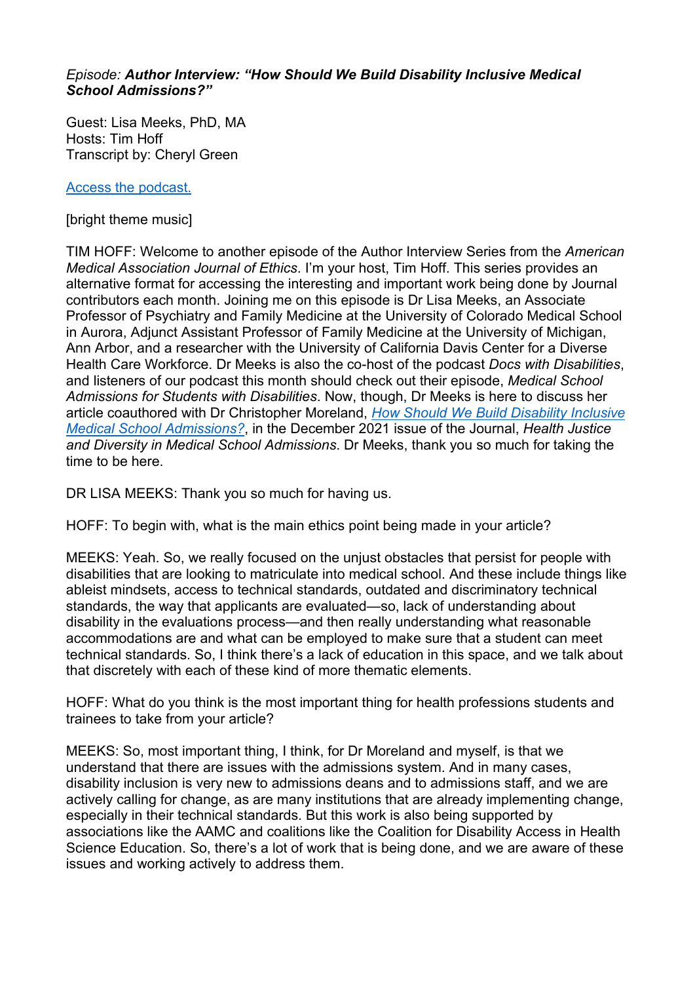## *Episode: Author Interview: "How Should We Build Disability Inclusive Medical School Admissions?"*

Guest: Lisa Meeks, PhD, MA Hosts: Tim Hoff Transcript by: Cheryl Green

[Access the podcast.](https://journalofethics.ama-assn.org/podcast/author-interview-how-should-we-build-disability-inclusive-medical-school-admissions)

[bright theme music]

TIM HOFF: Welcome to another episode of the Author Interview Series from the *American Medical Association Journal of Ethics*. I'm your host, Tim Hoff. This series provides an alternative format for accessing the interesting and important work being done by Journal contributors each month. Joining me on this episode is Dr Lisa Meeks, an Associate Professor of Psychiatry and Family Medicine at the University of Colorado Medical School in Aurora, Adjunct Assistant Professor of Family Medicine at the University of Michigan, Ann Arbor, and a researcher with the University of California Davis Center for a Diverse Health Care Workforce. Dr Meeks is also the co-host of the podcast *Docs with Disabilities*, and listeners of our podcast this month should check out their episode, *Medical School Admissions for Students with Disabilities*. Now, though, Dr Meeks is here to discuss her article coauthored with Dr Christopher Moreland, *[How Should We Build Disability Inclusive](https://journalofethics.ama-assn.org/article/how-should-we-build-disability-inclusive-medical-school-admissions/2021-08)  [Medical School Admissions?](https://journalofethics.ama-assn.org/article/how-should-we-build-disability-inclusive-medical-school-admissions/2021-08)*, in the December 2021 issue of the Journal, *Health Justice and Diversity in Medical School Admissions*. Dr Meeks, thank you so much for taking the time to be here.

DR LISA MEEKS: Thank you so much for having us.

HOFF: To begin with, what is the main ethics point being made in your article?

MEEKS: Yeah. So, we really focused on the unjust obstacles that persist for people with disabilities that are looking to matriculate into medical school. And these include things like ableist mindsets, access to technical standards, outdated and discriminatory technical standards, the way that applicants are evaluated—so, lack of understanding about disability in the evaluations process—and then really understanding what reasonable accommodations are and what can be employed to make sure that a student can meet technical standards. So, I think there's a lack of education in this space, and we talk about that discretely with each of these kind of more thematic elements.

HOFF: What do you think is the most important thing for health professions students and trainees to take from your article?

MEEKS: So, most important thing, I think, for Dr Moreland and myself, is that we understand that there are issues with the admissions system. And in many cases, disability inclusion is very new to admissions deans and to admissions staff, and we are actively calling for change, as are many institutions that are already implementing change, especially in their technical standards. But this work is also being supported by associations like the AAMC and coalitions like the Coalition for Disability Access in Health Science Education. So, there's a lot of work that is being done, and we are aware of these issues and working actively to address them.